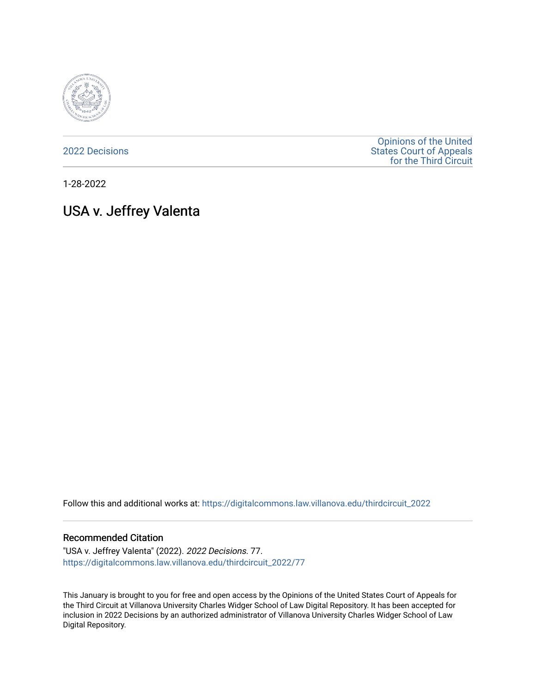

[2022 Decisions](https://digitalcommons.law.villanova.edu/thirdcircuit_2022)

[Opinions of the United](https://digitalcommons.law.villanova.edu/thirdcircuit)  [States Court of Appeals](https://digitalcommons.law.villanova.edu/thirdcircuit)  [for the Third Circuit](https://digitalcommons.law.villanova.edu/thirdcircuit) 

1-28-2022

# USA v. Jeffrey Valenta

Follow this and additional works at: [https://digitalcommons.law.villanova.edu/thirdcircuit\\_2022](https://digitalcommons.law.villanova.edu/thirdcircuit_2022?utm_source=digitalcommons.law.villanova.edu%2Fthirdcircuit_2022%2F77&utm_medium=PDF&utm_campaign=PDFCoverPages) 

#### Recommended Citation

"USA v. Jeffrey Valenta" (2022). 2022 Decisions. 77. [https://digitalcommons.law.villanova.edu/thirdcircuit\\_2022/77](https://digitalcommons.law.villanova.edu/thirdcircuit_2022/77?utm_source=digitalcommons.law.villanova.edu%2Fthirdcircuit_2022%2F77&utm_medium=PDF&utm_campaign=PDFCoverPages)

This January is brought to you for free and open access by the Opinions of the United States Court of Appeals for the Third Circuit at Villanova University Charles Widger School of Law Digital Repository. It has been accepted for inclusion in 2022 Decisions by an authorized administrator of Villanova University Charles Widger School of Law Digital Repository.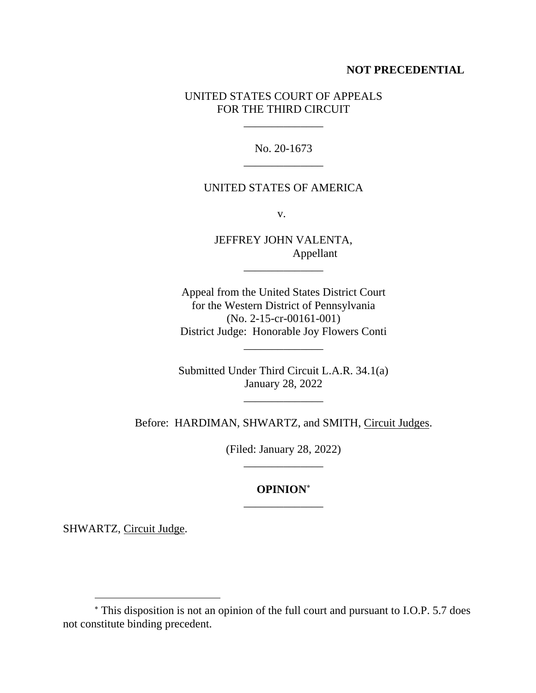### **NOT PRECEDENTIAL**

# UNITED STATES COURT OF APPEALS FOR THE THIRD CIRCUIT

\_\_\_\_\_\_\_\_\_\_\_\_\_\_

No. 20-1673 \_\_\_\_\_\_\_\_\_\_\_\_\_\_

#### UNITED STATES OF AMERICA

v.

JEFFREY JOHN VALENTA, Appellant

\_\_\_\_\_\_\_\_\_\_\_\_\_\_

Appeal from the United States District Court for the Western District of Pennsylvania (No. 2-15-cr-00161-001) District Judge: Honorable Joy Flowers Conti

Submitted Under Third Circuit L.A.R. 34.1(a) January 28, 2022

\_\_\_\_\_\_\_\_\_\_\_\_\_\_

\_\_\_\_\_\_\_\_\_\_\_\_\_\_

Before: HARDIMAN, SHWARTZ, and SMITH, Circuit Judges.

(Filed: January 28, 2022)

# **OPINION** \_\_\_\_\_\_\_\_\_\_\_\_\_\_

SHWARTZ, Circuit Judge.

This disposition is not an opinion of the full court and pursuant to I.O.P. 5.7 does not constitute binding precedent.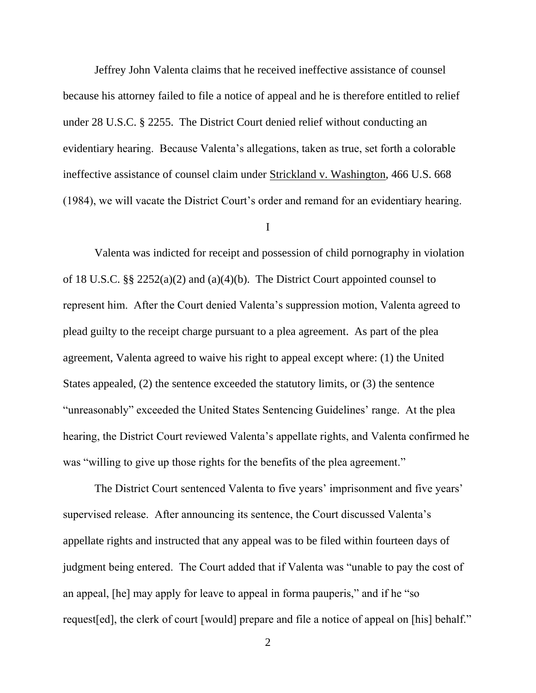Jeffrey John Valenta claims that he received ineffective assistance of counsel because his attorney failed to file a notice of appeal and he is therefore entitled to relief under 28 U.S.C. § 2255. The District Court denied relief without conducting an evidentiary hearing. Because Valenta's allegations, taken as true, set forth a colorable ineffective assistance of counsel claim under Strickland v. Washington, 466 U.S. 668 (1984), we will vacate the District Court's order and remand for an evidentiary hearing.

#### I

Valenta was indicted for receipt and possession of child pornography in violation of 18 U.S.C. §§ 2252(a)(2) and (a)(4)(b). The District Court appointed counsel to represent him. After the Court denied Valenta's suppression motion, Valenta agreed to plead guilty to the receipt charge pursuant to a plea agreement. As part of the plea agreement, Valenta agreed to waive his right to appeal except where: (1) the United States appealed, (2) the sentence exceeded the statutory limits, or (3) the sentence "unreasonably" exceeded the United States Sentencing Guidelines' range. At the plea hearing, the District Court reviewed Valenta's appellate rights, and Valenta confirmed he was "willing to give up those rights for the benefits of the plea agreement."

The District Court sentenced Valenta to five years' imprisonment and five years' supervised release. After announcing its sentence, the Court discussed Valenta's appellate rights and instructed that any appeal was to be filed within fourteen days of judgment being entered. The Court added that if Valenta was "unable to pay the cost of an appeal, [he] may apply for leave to appeal in forma pauperis," and if he "so request[ed], the clerk of court [would] prepare and file a notice of appeal on [his] behalf."

2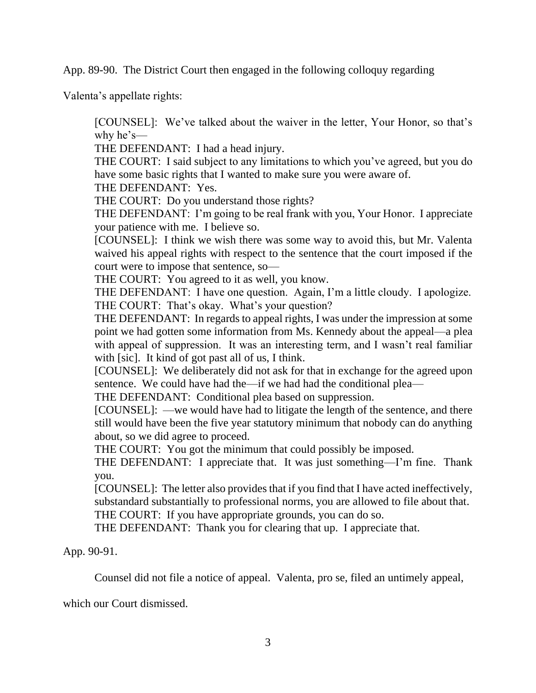App. 89-90. The District Court then engaged in the following colloquy regarding

Valenta's appellate rights:

[COUNSEL]: We've talked about the waiver in the letter, Your Honor, so that's why he's—

THE DEFENDANT: I had a head injury.

THE COURT: I said subject to any limitations to which you've agreed, but you do have some basic rights that I wanted to make sure you were aware of.

THE DEFENDANT: Yes.

THE COURT: Do you understand those rights?

THE DEFENDANT: I'm going to be real frank with you, Your Honor. I appreciate your patience with me. I believe so.

[COUNSEL]: I think we wish there was some way to avoid this, but Mr. Valenta waived his appeal rights with respect to the sentence that the court imposed if the court were to impose that sentence, so—

THE COURT: You agreed to it as well, you know.

THE DEFENDANT: I have one question. Again, I'm a little cloudy. I apologize. THE COURT: That's okay. What's your question?

THE DEFENDANT: In regards to appeal rights, I was under the impression at some point we had gotten some information from Ms. Kennedy about the appeal—a plea with appeal of suppression. It was an interesting term, and I wasn't real familiar with [sic]. It kind of got past all of us, I think.

[COUNSEL]: We deliberately did not ask for that in exchange for the agreed upon sentence. We could have had the—if we had had the conditional plea—

THE DEFENDANT: Conditional plea based on suppression.

[COUNSEL]: —we would have had to litigate the length of the sentence, and there still would have been the five year statutory minimum that nobody can do anything about, so we did agree to proceed.

THE COURT: You got the minimum that could possibly be imposed.

THE DEFENDANT: I appreciate that. It was just something—I'm fine. Thank you.

[COUNSEL]: The letter also provides that if you find that I have acted ineffectively, substandard substantially to professional norms, you are allowed to file about that.

THE COURT: If you have appropriate grounds, you can do so.

THE DEFENDANT: Thank you for clearing that up. I appreciate that.

App. 90-91.

Counsel did not file a notice of appeal. Valenta, pro se, filed an untimely appeal,

which our Court dismissed.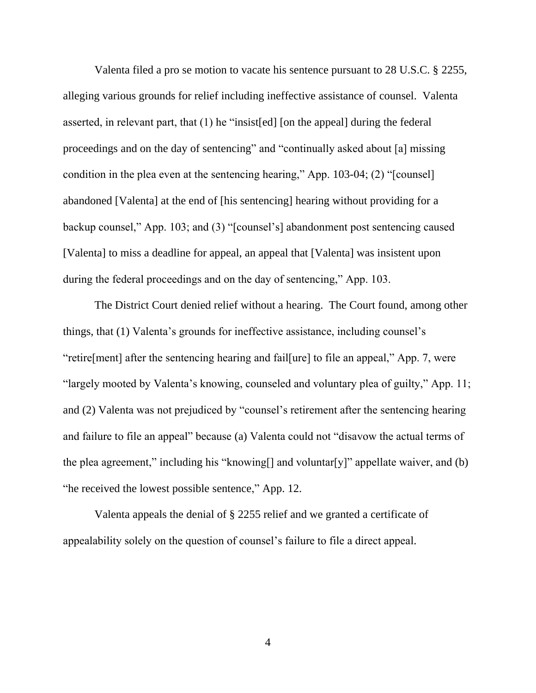Valenta filed a pro se motion to vacate his sentence pursuant to 28 U.S.C. § 2255, alleging various grounds for relief including ineffective assistance of counsel. Valenta asserted, in relevant part, that (1) he "insist[ed] [on the appeal] during the federal proceedings and on the day of sentencing" and "continually asked about [a] missing condition in the plea even at the sentencing hearing," App. 103-04; (2) "[counsel] abandoned [Valenta] at the end of [his sentencing] hearing without providing for a backup counsel," App. 103; and (3) "[counsel's] abandonment post sentencing caused [Valenta] to miss a deadline for appeal, an appeal that [Valenta] was insistent upon during the federal proceedings and on the day of sentencing," App. 103.

The District Court denied relief without a hearing. The Court found, among other things, that (1) Valenta's grounds for ineffective assistance, including counsel's "retire[ment] after the sentencing hearing and fail[ure] to file an appeal," App. 7, were "largely mooted by Valenta's knowing, counseled and voluntary plea of guilty," App. 11; and (2) Valenta was not prejudiced by "counsel's retirement after the sentencing hearing and failure to file an appeal" because (a) Valenta could not "disavow the actual terms of the plea agreement," including his "knowing[] and voluntar[y]" appellate waiver, and (b) "he received the lowest possible sentence," App. 12.

Valenta appeals the denial of § 2255 relief and we granted a certificate of appealability solely on the question of counsel's failure to file a direct appeal.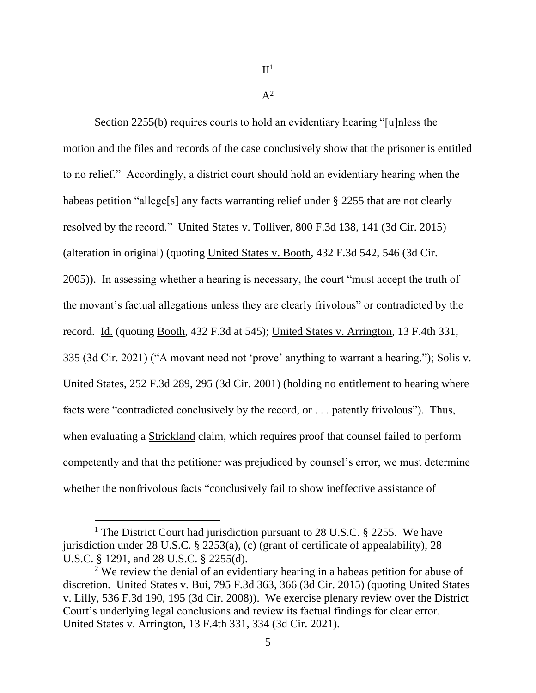$\Pi^1$ 

 $A^2$ 

Section 2255(b) requires courts to hold an evidentiary hearing "[u]nless the motion and the files and records of the case conclusively show that the prisoner is entitled to no relief." Accordingly, a district court should hold an evidentiary hearing when the habeas petition "allege[s] any facts warranting relief under § 2255 that are not clearly resolved by the record." United States v. Tolliver, 800 F.3d 138, 141 (3d Cir. 2015) (alteration in original) (quoting United States v. Booth, 432 F.3d 542, 546 (3d Cir. 2005)). In assessing whether a hearing is necessary, the court "must accept the truth of the movant's factual allegations unless they are clearly frivolous" or contradicted by the record. Id. (quoting Booth, 432 F.3d at 545); United States v. Arrington, 13 F.4th 331, 335 (3d Cir. 2021) ("A movant need not 'prove' anything to warrant a hearing."); Solis v. United States, 252 F.3d 289, 295 (3d Cir. 2001) (holding no entitlement to hearing where facts were "contradicted conclusively by the record, or . . . patently frivolous"). Thus, when evaluating a Strickland claim, which requires proof that counsel failed to perform competently and that the petitioner was prejudiced by counsel's error, we must determine whether the nonfrivolous facts "conclusively fail to show ineffective assistance of

<sup>&</sup>lt;sup>1</sup> The District Court had jurisdiction pursuant to 28 U.S.C. § 2255. We have jurisdiction under 28 U.S.C. § 2253(a), (c) (grant of certificate of appealability), 28 U.S.C. § 1291, and 28 U.S.C. § 2255(d).

 $2$  We review the denial of an evidentiary hearing in a habeas petition for abuse of discretion. United States v. Bui, 795 F.3d 363, 366 (3d Cir. 2015) (quoting United States v. Lilly, 536 F.3d 190, 195 (3d Cir. 2008)). We exercise plenary review over the District Court's underlying legal conclusions and review its factual findings for clear error. United States v. Arrington, 13 F.4th 331, 334 (3d Cir. 2021).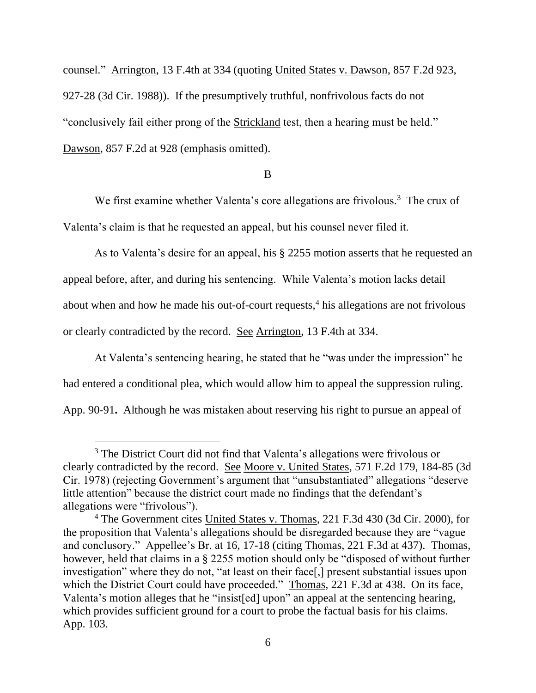counsel." Arrington, 13 F.4th at 334 (quoting United States v. Dawson, 857 F.2d 923, 927-28 (3d Cir. 1988)). If the presumptively truthful, nonfrivolous facts do not "conclusively fail either prong of the Strickland test, then a hearing must be held." Dawson, 857 F.2d at 928 (emphasis omitted).

#### B

We first examine whether Valenta's core allegations are frivolous.<sup>3</sup> The crux of Valenta's claim is that he requested an appeal, but his counsel never filed it.

As to Valenta's desire for an appeal, his § 2255 motion asserts that he requested an appeal before, after, and during his sentencing. While Valenta's motion lacks detail about when and how he made his out-of-court requests, $4$  his allegations are not frivolous or clearly contradicted by the record. See Arrington, 13 F.4th at 334.

At Valenta's sentencing hearing, he stated that he "was under the impression" he had entered a conditional plea, which would allow him to appeal the suppression ruling. App. 90-91**.** Although he was mistaken about reserving his right to pursue an appeal of

<sup>&</sup>lt;sup>3</sup> The District Court did not find that Valenta's allegations were frivolous or clearly contradicted by the record. See Moore v. United States, 571 F.2d 179, 184-85 (3d Cir. 1978) (rejecting Government's argument that "unsubstantiated" allegations "deserve little attention" because the district court made no findings that the defendant's allegations were "frivolous").

<sup>4</sup> The Government cites United States v. Thomas, 221 F.3d 430 (3d Cir. 2000), for the proposition that Valenta's allegations should be disregarded because they are "vague and conclusory." Appellee's Br. at 16, 17-18 (citing Thomas, 221 F.3d at 437). Thomas, however, held that claims in a § 2255 motion should only be "disposed of without further investigation" where they do not, "at least on their face[,] present substantial issues upon which the District Court could have proceeded." Thomas, 221 F.3d at 438. On its face, Valenta's motion alleges that he "insist[ed] upon" an appeal at the sentencing hearing, which provides sufficient ground for a court to probe the factual basis for his claims. App. 103.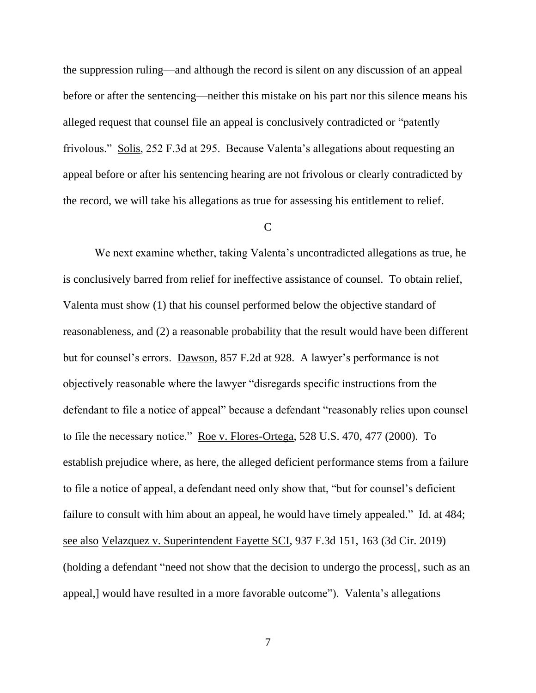the suppression ruling—and although the record is silent on any discussion of an appeal before or after the sentencing—neither this mistake on his part nor this silence means his alleged request that counsel file an appeal is conclusively contradicted or "patently frivolous." Solis, 252 F.3d at 295. Because Valenta's allegations about requesting an appeal before or after his sentencing hearing are not frivolous or clearly contradicted by the record, we will take his allegations as true for assessing his entitlement to relief.

## $\overline{C}$

We next examine whether, taking Valenta's uncontradicted allegations as true, he is conclusively barred from relief for ineffective assistance of counsel. To obtain relief, Valenta must show (1) that his counsel performed below the objective standard of reasonableness, and (2) a reasonable probability that the result would have been different but for counsel's errors. Dawson, 857 F.2d at 928. A lawyer's performance is not objectively reasonable where the lawyer "disregards specific instructions from the defendant to file a notice of appeal" because a defendant "reasonably relies upon counsel to file the necessary notice." Roe v. Flores-Ortega, 528 U.S. 470, 477 (2000). To establish prejudice where, as here, the alleged deficient performance stems from a failure to file a notice of appeal, a defendant need only show that, "but for counsel's deficient failure to consult with him about an appeal, he would have timely appealed." Id. at  $484$ ; see also Velazquez v. Superintendent Fayette SCI, 937 F.3d 151, 163 (3d Cir. 2019) (holding a defendant "need not show that the decision to undergo the process[, such as an appeal,] would have resulted in a more favorable outcome"). Valenta's allegations

7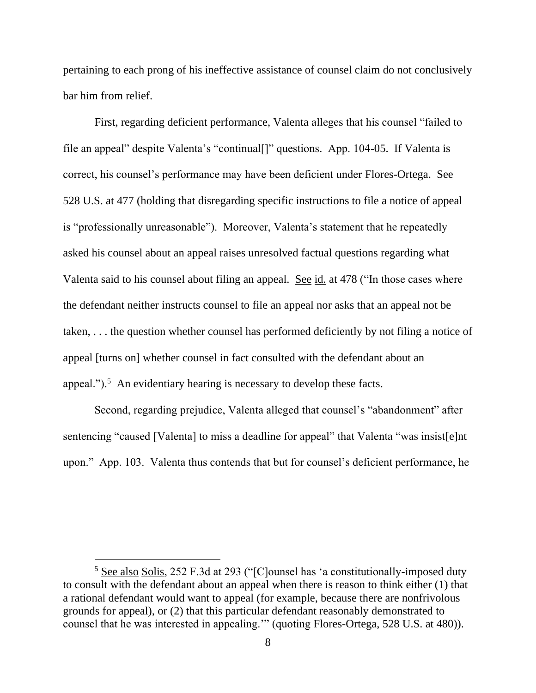pertaining to each prong of his ineffective assistance of counsel claim do not conclusively bar him from relief.

First, regarding deficient performance, Valenta alleges that his counsel "failed to file an appeal" despite Valenta's "continual[]" questions. App. 104-05. If Valenta is correct, his counsel's performance may have been deficient under Flores-Ortega. See 528 U.S. at 477 (holding that disregarding specific instructions to file a notice of appeal is "professionally unreasonable"). Moreover, Valenta's statement that he repeatedly asked his counsel about an appeal raises unresolved factual questions regarding what Valenta said to his counsel about filing an appeal. See id. at 478 ("In those cases where the defendant neither instructs counsel to file an appeal nor asks that an appeal not be taken, . . . the question whether counsel has performed deficiently by not filing a notice of appeal [turns on] whether counsel in fact consulted with the defendant about an appeal.").<sup>5</sup> An evidentiary hearing is necessary to develop these facts.

Second, regarding prejudice, Valenta alleged that counsel's "abandonment" after sentencing "caused [Valenta] to miss a deadline for appeal" that Valenta "was insist[e]nt upon." App. 103. Valenta thus contends that but for counsel's deficient performance, he

<sup>&</sup>lt;sup>5</sup> See also Solis, 252 F.3d at 293 ("[C]ounsel has 'a constitutionally-imposed duty to consult with the defendant about an appeal when there is reason to think either (1) that a rational defendant would want to appeal (for example, because there are nonfrivolous grounds for appeal), or (2) that this particular defendant reasonably demonstrated to counsel that he was interested in appealing.'" (quoting Flores-Ortega, 528 U.S. at 480)).